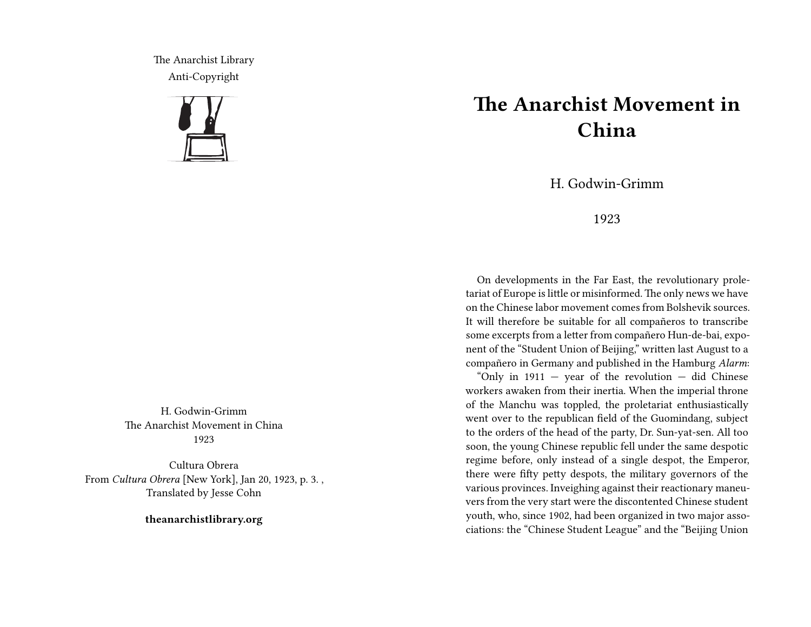The Anarchist Library Anti-Copyright



H. Godwin-Grimm The Anarchist Movement in China 1923

Cultura Obrera From *Cultura Obrera* [New York], Jan 20, 1923, p. 3. , Translated by Jesse Cohn

**theanarchistlibrary.org**

## **The Anarchist Movement in China**

H. Godwin-Grimm

## 1923

On developments in the Far East, the revolutionary proletariat of Europe is little or misinformed. The only news we have on the Chinese labor movement comes from Bolshevik sources. It will therefore be suitable for all compañeros to transcribe some excerpts from a letter from compañero Hun-de-bai, exponent of the "Student Union of Beijing," written last August to a compañero in Germany and published in the Hamburg *Alarm*:

"Only in  $1911 - year$  of the revolution  $-$  did Chinese" workers awaken from their inertia. When the imperial throne of the Manchu was toppled, the proletariat enthusiastically went over to the republican field of the Guomindang, subject to the orders of the head of the party, Dr. Sun-yat-sen. All too soon, the young Chinese republic fell under the same despotic regime before, only instead of a single despot, the Emperor, there were fifty petty despots, the military governors of the various provinces. Inveighing against their reactionary maneuvers from the very start were the discontented Chinese student youth, who, since 1902, had been organized in two major associations: the "Chinese Student League" and the "Beijing Union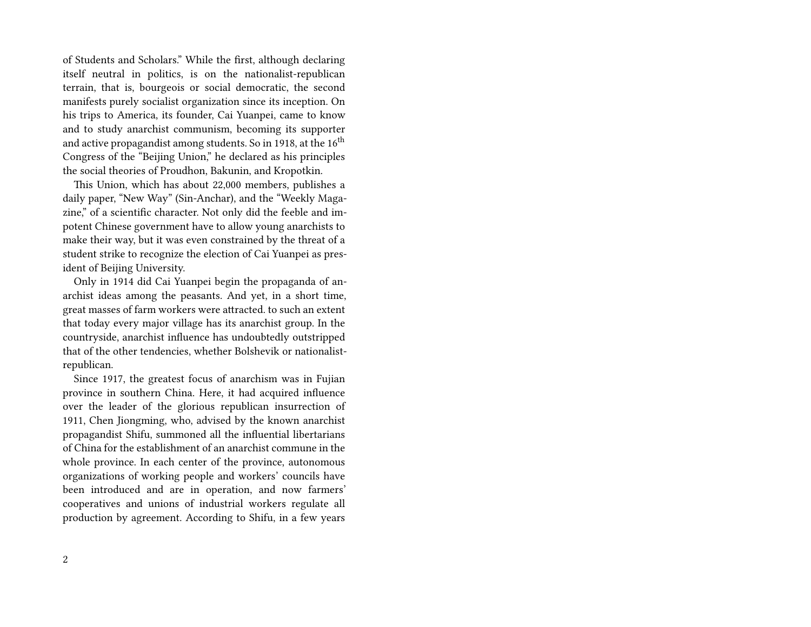of Students and Scholars." While the first, although declaring itself neutral in politics, is on the nationalist-republican terrain, that is, bourgeois or social democratic, the second manifests purely socialist organization since its inception. On his trips to America, its founder, Cai Yuanpei, came to know and to study anarchist communism, becoming its supporter and active propagandist among students. So in 1918, at the  $16<sup>th</sup>$ Congress of the "Beijing Union," he declared as his principles the social theories of Proudhon, Bakunin, and Kropotkin.

This Union, which has about 22,000 members, publishes a daily paper, "New Way" (Sin-Anchar), and the "Weekly Magazine," of a scientific character. Not only did the feeble and impotent Chinese government have to allow young anarchists to make their way, but it was even constrained by the threat of a student strike to recognize the election of Cai Yuanpei as president of Beijing University.

Only in 1914 did Cai Yuanpei begin the propaganda of anarchist ideas among the peasants. And yet, in a short time, great masses of farm workers were attracted. to such an extent that today every major village has its anarchist group. In the countryside, anarchist influence has undoubtedly outstripped that of the other tendencies, whether Bolshevik or nationalistrepublican.

Since 1917, the greatest focus of anarchism was in Fujian province in southern China. Here, it had acquired influence over the leader of the glorious republican insurrection of 1911, Chen Jiongming, who, advised by the known anarchist propagandist Shifu, summoned all the influential libertarians of China for the establishment of an anarchist commune in the whole province. In each center of the province, autonomous organizations of working people and workers' councils have been introduced and are in operation, and now farmers' cooperatives and unions of industrial workers regulate all production by agreement. According to Shifu, in a few years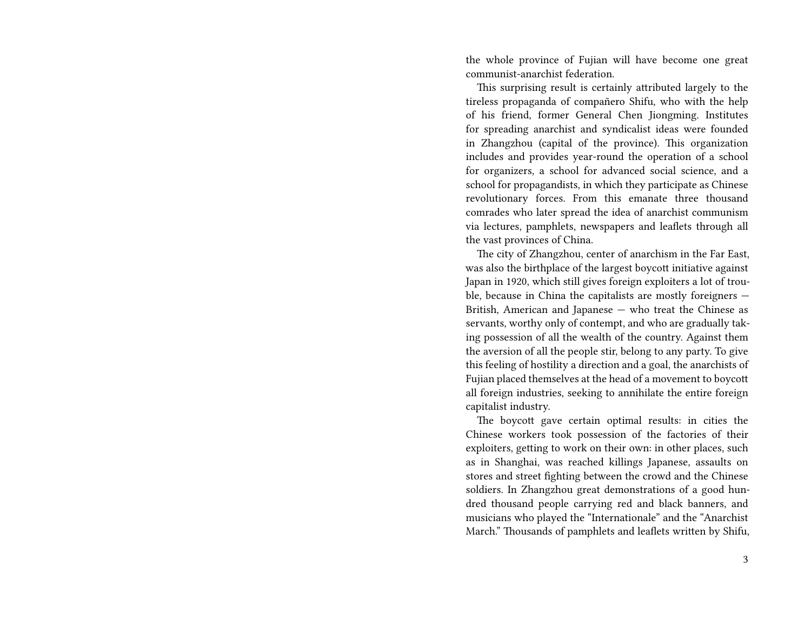the whole province of Fujian will have become one great communist-anarchist federation.

This surprising result is certainly attributed largely to the tireless propaganda of compañero Shifu, who with the help of his friend, former General Chen Jiongming. Institutes for spreading anarchist and syndicalist ideas were founded in Zhangzhou (capital of the province). This organization includes and provides year-round the operation of a school for organizers, a school for advanced social science, and a school for propagandists, in which they participate as Chinese revolutionary forces. From this emanate three thousand comrades who later spread the idea of anarchist communism via lectures, pamphlets, newspapers and leaflets through all the vast provinces of China.

The city of Zhangzhou, center of anarchism in the Far East, was also the birthplace of the largest boycott initiative against Japan in 1920, which still gives foreign exploiters a lot of trouble, because in China the capitalists are mostly foreigners — British, American and Japanese — who treat the Chinese as servants, worthy only of contempt, and who are gradually taking possession of all the wealth of the country. Against them the aversion of all the people stir, belong to any party. To give this feeling of hostility a direction and a goal, the anarchists of Fujian placed themselves at the head of a movement to boycott all foreign industries, seeking to annihilate the entire foreign capitalist industry.

The boycott gave certain optimal results: in cities the Chinese workers took possession of the factories of their exploiters, getting to work on their own: in other places, such as in Shanghai, was reached killings Japanese, assaults on stores and street fighting between the crowd and the Chinese soldiers. In Zhangzhou great demonstrations of a good hundred thousand people carrying red and black banners, and musicians who played the "Internationale" and the "Anarchist March." Thousands of pamphlets and leaflets written by Shifu,